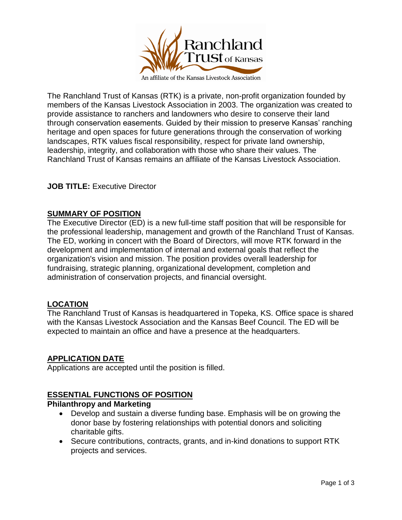

The Ranchland Trust of Kansas (RTK) is a private, non-profit organization founded by members of the Kansas Livestock Association in 2003. The organization was created to provide assistance to ranchers and landowners who desire to conserve their land through conservation easements. Guided by their mission to preserve Kansas' ranching heritage and open spaces for future generations through the conservation of working landscapes, RTK values fiscal responsibility, respect for private land ownership, leadership, integrity, and collaboration with those who share their values. The Ranchland Trust of Kansas remains an affiliate of the Kansas Livestock Association.

# **JOB TITLE:** Executive Director

#### **SUMMARY OF POSITION**

The Executive Director (ED) is a new full-time staff position that will be responsible for the professional leadership, management and growth of the Ranchland Trust of Kansas. The ED, working in concert with the Board of Directors, will move RTK forward in the development and implementation of internal and external goals that reflect the organization's vision and mission. The position provides overall leadership for fundraising, strategic planning, organizational development, completion and administration of conservation projects, and financial oversight.

## **LOCATION**

The Ranchland Trust of Kansas is headquartered in Topeka, KS. Office space is shared with the Kansas Livestock Association and the Kansas Beef Council. The ED will be expected to maintain an office and have a presence at the headquarters.

#### **APPLICATION DATE**

Applications are accepted until the position is filled.

## **ESSENTIAL FUNCTIONS OF POSITION**

#### **Philanthropy and Marketing**

- Develop and sustain a diverse funding base. Emphasis will be on growing the donor base by fostering relationships with potential donors and soliciting charitable gifts.
- Secure contributions, contracts, grants, and in-kind donations to support RTK projects and services.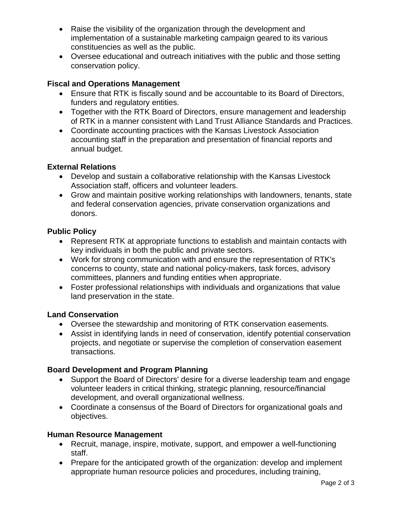- Raise the visibility of the organization through the development and implementation of a sustainable marketing campaign geared to its various constituencies as well as the public.
- Oversee educational and outreach initiatives with the public and those setting conservation policy.

# **Fiscal and Operations Management**

- Ensure that RTK is fiscally sound and be accountable to its Board of Directors, funders and regulatory entities.
- Together with the RTK Board of Directors, ensure management and leadership of RTK in a manner consistent with Land Trust Alliance Standards and Practices.
- Coordinate accounting practices with the Kansas Livestock Association accounting staff in the preparation and presentation of financial reports and annual budget.

# **External Relations**

- Develop and sustain a collaborative relationship with the Kansas Livestock Association staff, officers and volunteer leaders.
- Grow and maintain positive working relationships with landowners, tenants, state and federal conservation agencies, private conservation organizations and donors.

# **Public Policy**

- Represent RTK at appropriate functions to establish and maintain contacts with key individuals in both the public and private sectors.
- Work for strong communication with and ensure the representation of RTK's concerns to county, state and national policy-makers, task forces, advisory committees, planners and funding entities when appropriate.
- Foster professional relationships with individuals and organizations that value land preservation in the state.

## **Land Conservation**

- Oversee the stewardship and monitoring of RTK conservation easements.
- Assist in identifying lands in need of conservation, identify potential conservation projects, and negotiate or supervise the completion of conservation easement transactions.

# **Board Development and Program Planning**

- Support the Board of Directors' desire for a diverse leadership team and engage volunteer leaders in critical thinking, strategic planning, resource/financial development, and overall organizational wellness.
- Coordinate a consensus of the Board of Directors for organizational goals and objectives.

## **Human Resource Management**

- Recruit, manage, inspire, motivate, support, and empower a well-functioning staff.
- Prepare for the anticipated growth of the organization: develop and implement appropriate human resource policies and procedures, including training,